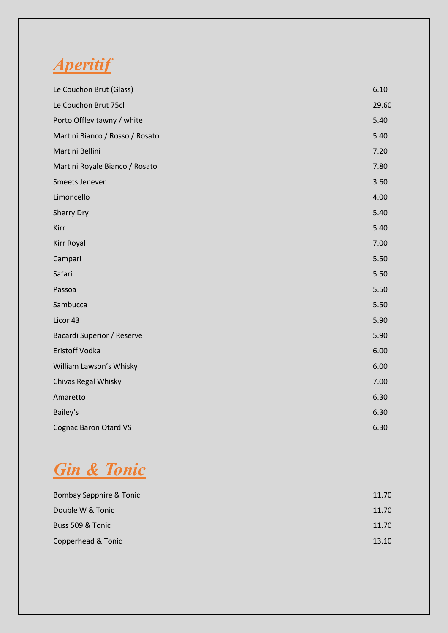

| Le Couchon Brut (Glass)         | 6.10  |
|---------------------------------|-------|
| Le Couchon Brut 75cl            | 29.60 |
| Porto Offley tawny / white      | 5.40  |
| Martini Bianco / Rosso / Rosato | 5.40  |
| Martini Bellini                 | 7.20  |
| Martini Royale Bianco / Rosato  | 7.80  |
| Smeets Jenever                  | 3.60  |
| Limoncello                      | 4.00  |
| <b>Sherry Dry</b>               | 5.40  |
| Kirr                            | 5.40  |
| Kirr Royal                      | 7.00  |
| Campari                         | 5.50  |
| Safari                          | 5.50  |
| Passoa                          | 5.50  |
| Sambucca                        | 5.50  |
| Licor 43                        | 5.90  |
| Bacardi Superior / Reserve      | 5.90  |
| Eristoff Vodka                  | 6.00  |
| William Lawson's Whisky         | 6.00  |
| Chivas Regal Whisky             | 7.00  |
| Amaretto                        | 6.30  |
| Bailey's                        | 6.30  |
| <b>Cognac Baron Otard VS</b>    | 6.30  |

# *Gin & Tonic*

| Bombay Sapphire & Tonic | 11.70 |
|-------------------------|-------|
| Double W & Tonic        | 11.70 |
| Buss 509 & Tonic        | 11.70 |
| Copperhead & Tonic      | 13.10 |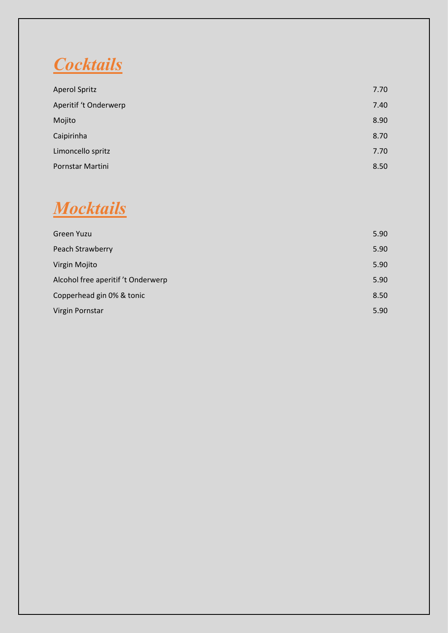*Cocktails*

| <b>Aperol Spritz</b>  | 7.70 |
|-----------------------|------|
| Aperitif 't Onderwerp | 7.40 |
| Mojito                | 8.90 |
| Caipirinha            | 8.70 |
| Limoncello spritz     | 7.70 |
| Pornstar Martini      | 8.50 |

#### *Mocktails*

| Green Yuzu                         | 5.90 |
|------------------------------------|------|
| Peach Strawberry                   | 5.90 |
| Virgin Mojito                      | 5.90 |
| Alcohol free aperitif 't Onderwerp | 5.90 |
| Copperhead gin 0% & tonic          | 8.50 |
| Virgin Pornstar                    | 5.90 |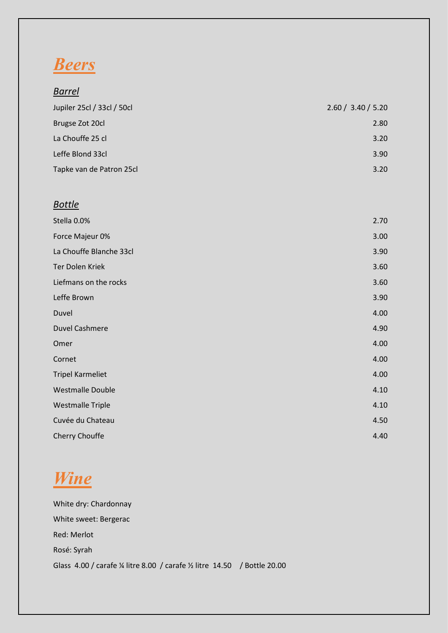# *Beers*

| <u>Barrel</u>              |                    |
|----------------------------|--------------------|
| Jupiler 25cl / 33cl / 50cl | 2.60 / 3.40 / 5.20 |
| Brugse Zot 20cl            | 2.80               |
| La Chouffe 25 cl           | 3.20               |
| Leffe Blond 33cl           | 3.90               |
| Tapke van de Patron 25cl   | 3.20               |
|                            |                    |
| <b>Bottle</b>              |                    |
| Stella 0.0%                | 2.70               |
| Force Majeur 0%            | 3.00               |
| La Chouffe Blanche 33cl    | 3.90               |
| Ter Dolen Kriek            | 3.60               |
| Liefmans on the rocks      | 3.60               |
| Leffe Brown                | 3.90               |
| Duvel                      | 4.00               |
| <b>Duvel Cashmere</b>      | 4.90               |
| Omer                       | 4.00               |
| Cornet                     | 4.00               |
| <b>Tripel Karmeliet</b>    | 4.00               |
| <b>Westmalle Double</b>    | 4.10               |
| <b>Westmalle Triple</b>    | 4.10               |
| Cuvée du Chateau           | 4.50               |
| Cherry Chouffe             | 4.40               |

# *Wine*

White dry: Chardonnay White sweet: Bergerac Red: Merlot Rosé: Syrah Glass 4.00 / carafe ¼ litre 8.00 / carafe ½ litre 14.50 / Bottle 20.00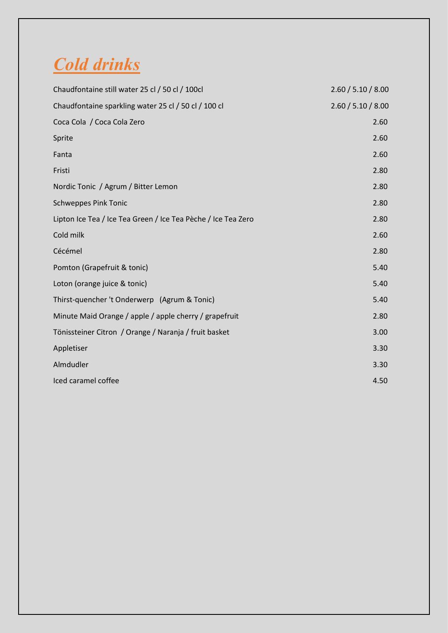#### *Cold drinks*

| Chaudfontaine still water 25 cl / 50 cl / 100cl               | 2.60 / 5.10 / 8.00 |
|---------------------------------------------------------------|--------------------|
| Chaudfontaine sparkling water 25 cl / 50 cl / 100 cl          | 2.60 / 5.10 / 8.00 |
| Coca Cola / Coca Cola Zero                                    | 2.60               |
| Sprite                                                        | 2.60               |
| Fanta                                                         | 2.60               |
| Fristi                                                        | 2.80               |
| Nordic Tonic / Agrum / Bitter Lemon                           | 2.80               |
| <b>Schweppes Pink Tonic</b>                                   | 2.80               |
| Lipton Ice Tea / Ice Tea Green / Ice Tea Pèche / Ice Tea Zero | 2.80               |
| Cold milk                                                     | 2.60               |
| Cécémel                                                       | 2.80               |
| Pomton (Grapefruit & tonic)                                   | 5.40               |
| Loton (orange juice & tonic)                                  | 5.40               |
| Thirst-quencher 't Onderwerp (Agrum & Tonic)                  | 5.40               |
| Minute Maid Orange / apple / apple cherry / grapefruit        | 2.80               |
| Tönissteiner Citron / Orange / Naranja / fruit basket         | 3.00               |
| Appletiser                                                    | 3.30               |
| Almdudler                                                     | 3.30               |
| Iced caramel coffee                                           | 4.50               |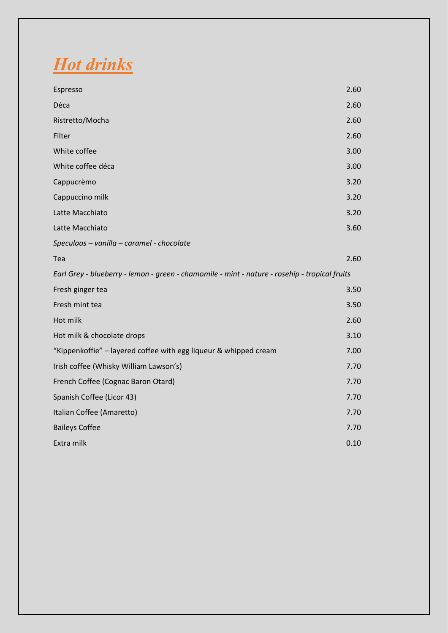*Hot drinks*

| Espresso                                                                                      | 2.60 |
|-----------------------------------------------------------------------------------------------|------|
| Déca                                                                                          | 2.60 |
| Ristretto/Mocha                                                                               | 2.60 |
| Filter                                                                                        | 2.60 |
| White coffee                                                                                  | 3.00 |
| White coffee déca                                                                             | 3.00 |
| Cappucrèmo                                                                                    | 3.20 |
| Cappuccino milk                                                                               | 3.20 |
| Latte Macchiato                                                                               | 3.20 |
| Latte Macchiato                                                                               | 3.60 |
| Speculaas - vanilla - caramel - chocolate                                                     |      |
| Tea                                                                                           | 2.60 |
|                                                                                               |      |
| Earl Grey - blueberry - lemon - green - chamomile - mint - nature - rosehip - tropical fruits |      |
| Fresh ginger tea                                                                              | 3.50 |
| Fresh mint tea                                                                                | 3.50 |
| Hot milk                                                                                      | 2.60 |
| Hot milk & chocolate drops                                                                    | 3.10 |
| "Kippenkoffie" - layered coffee with egg liqueur & whipped cream                              | 7.00 |
| Irish coffee (Whisky William Lawson's)                                                        | 7.70 |
| French Coffee (Cognac Baron Otard)                                                            | 7.70 |
| Spanish Coffee (Licor 43)                                                                     | 7.70 |
| Italian Coffee (Amaretto)                                                                     | 7.70 |
| <b>Baileys Coffee</b>                                                                         | 7.70 |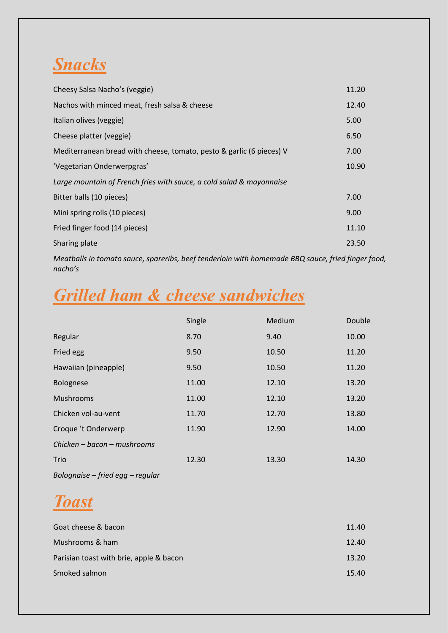#### *Snacks*

| Cheesy Salsa Nacho's (veggie)                                        | 11.20 |
|----------------------------------------------------------------------|-------|
| Nachos with minced meat, fresh salsa & cheese                        | 12.40 |
| Italian olives (veggie)                                              | 5.00  |
| Cheese platter (veggie)                                              | 6.50  |
| Mediterranean bread with cheese, tomato, pesto & garlic (6 pieces) V | 7.00  |
| 'Vegetarian Onderwerpgras'                                           | 10.90 |
| Large mountain of French fries with sauce, a cold salad & mayonnaise |       |
| Bitter balls (10 pieces)                                             | 7.00  |
| Mini spring rolls (10 pieces)                                        | 9.00  |
| Fried finger food (14 pieces)                                        | 11.10 |
| Sharing plate                                                        | 23.50 |

*Meatballs in tomato sauce, spareribs, beef tenderloin with homemade BBQ sauce, fried finger food, nacho's*

#### *Grilled ham & cheese sandwiches*

|                                  | Single | Medium | Double |
|----------------------------------|--------|--------|--------|
| Regular                          | 8.70   | 9.40   | 10.00  |
| Fried egg                        | 9.50   | 10.50  | 11.20  |
| Hawaiian (pineapple)             | 9.50   | 10.50  | 11.20  |
| <b>Bolognese</b>                 | 11.00  | 12.10  | 13.20  |
| <b>Mushrooms</b>                 | 11.00  | 12.10  | 13.20  |
| Chicken vol-au-vent              | 11.70  | 12.70  | 13.80  |
| Croque 't Onderwerp              | 11.90  | 12.90  | 14.00  |
| Chicken - bacon - mushrooms      |        |        |        |
| Trio                             | 12.30  | 13.30  | 14.30  |
| Bolognaise - fried egg - regular |        |        |        |

#### *Toast*

| Goat cheese & bacon                     | 11.40 |
|-----------------------------------------|-------|
| Mushrooms & ham                         | 12.40 |
| Parisian toast with brie, apple & bacon | 13.20 |
| Smoked salmon                           | 15.40 |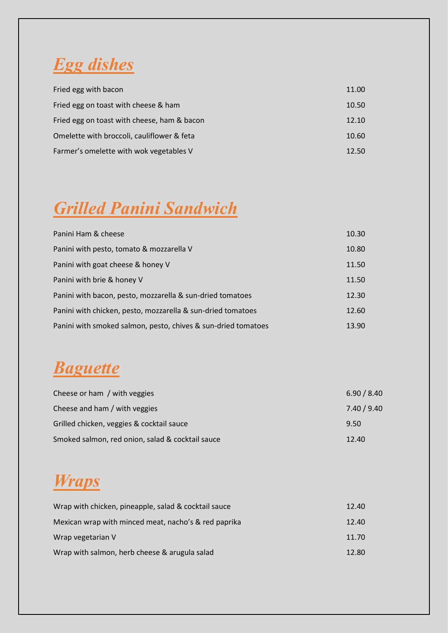

| Fried egg with bacon                        | 11.00 |
|---------------------------------------------|-------|
| Fried egg on toast with cheese & ham        | 10.50 |
| Fried egg on toast with cheese, ham & bacon | 12.10 |
| Omelette with broccoli, cauliflower & feta  | 10.60 |
| Farmer's omelette with wok vegetables V     | 12.50 |

# *Grilled Panini Sandwich*

| Panini Ham & cheese                                           | 10.30 |
|---------------------------------------------------------------|-------|
| Panini with pesto, tomato & mozzarella V                      | 10.80 |
| Panini with goat cheese & honey V                             | 11.50 |
| Panini with brie & honey V                                    | 11.50 |
| Panini with bacon, pesto, mozzarella & sun-dried tomatoes     | 12.30 |
| Panini with chicken, pesto, mozzarella & sun-dried tomatoes   | 12.60 |
| Panini with smoked salmon, pesto, chives & sun-dried tomatoes | 13.90 |

#### *Baguette*

| Cheese or ham / with veggies                     | 6.90 / 8.40 |
|--------------------------------------------------|-------------|
| Cheese and ham / with veggies                    | 7.40 / 9.40 |
| Grilled chicken, veggies & cocktail sauce        | 9.50        |
| Smoked salmon, red onion, salad & cocktail sauce | 12.40       |

#### *Wraps*

| Wrap with chicken, pineapple, salad & cocktail sauce | 12.40 |
|------------------------------------------------------|-------|
| Mexican wrap with minced meat, nacho's & red paprika | 12.40 |
| Wrap vegetarian V                                    | 11.70 |
| Wrap with salmon, herb cheese & arugula salad        | 12.80 |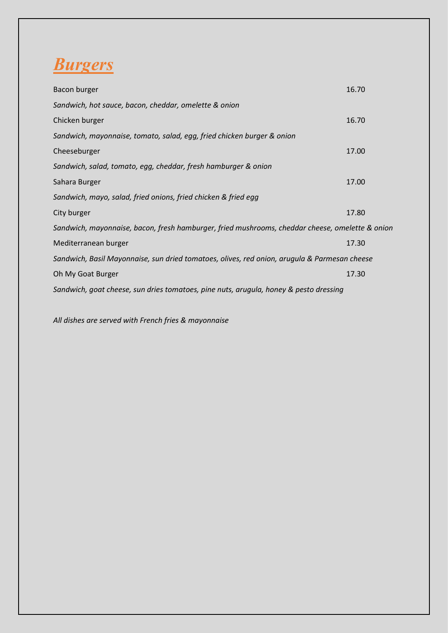

| Bacon burger                                                                                    | 16.70 |
|-------------------------------------------------------------------------------------------------|-------|
| Sandwich, hot sauce, bacon, cheddar, omelette & onion                                           |       |
| Chicken burger                                                                                  | 16.70 |
| Sandwich, mayonnaise, tomato, salad, egg, fried chicken burger & onion                          |       |
| Cheeseburger                                                                                    | 17.00 |
| Sandwich, salad, tomato, egg, cheddar, fresh hamburger & onion                                  |       |
| Sahara Burger                                                                                   | 17.00 |
| Sandwich, mayo, salad, fried onions, fried chicken & fried egg                                  |       |
| City burger                                                                                     | 17.80 |
| Sandwich, mayonnaise, bacon, fresh hamburger, fried mushrooms, cheddar cheese, omelette & onion |       |
| Mediterranean burger                                                                            | 17.30 |
| Sandwich, Basil Mayonnaise, sun dried tomatoes, olives, red onion, arugula & Parmesan cheese    |       |
| Oh My Goat Burger                                                                               | 17.30 |
| Sandwich, goat cheese, sun dries tomatoes, pine nuts, arugula, honey & pesto dressing           |       |

*All dishes are served with French fries & mayonnaise*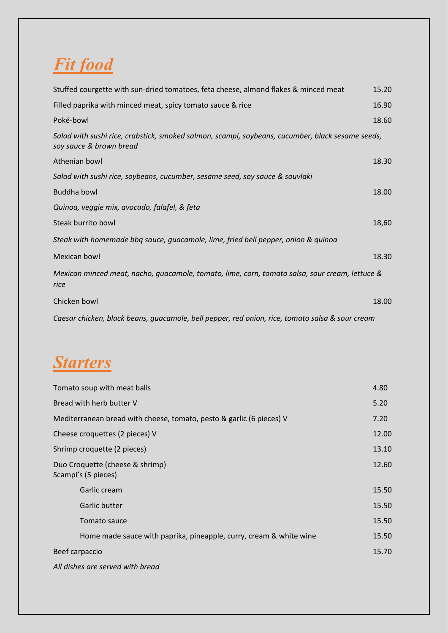# *Fit food*

| Stuffed courgette with sun-dried tomatoes, feta cheese, almond flakes & minced meat                                         | 15.20 |
|-----------------------------------------------------------------------------------------------------------------------------|-------|
| Filled paprika with minced meat, spicy tomato sauce & rice                                                                  | 16.90 |
| Poké-bowl                                                                                                                   | 18.60 |
| Salad with sushi rice, crabstick, smoked salmon, scampi, soybeans, cucumber, black sesame seeds,<br>soy sauce & brown bread |       |
| Athenian bowl                                                                                                               | 18.30 |
| Salad with sushi rice, soybeans, cucumber, sesame seed, soy sauce & souvlaki                                                |       |
| <b>Buddha bowl</b>                                                                                                          | 18.00 |
| Quinoa, veggie mix, avocado, falafel, & feta                                                                                |       |
| Steak burrito bowl                                                                                                          | 18,60 |
| Steak with homemade bbq sauce, guacamole, lime, fried bell pepper, onion & quinoa                                           |       |
| Mexican bowl                                                                                                                | 18.30 |
| Mexican minced meat, nacho, guacamole, tomato, lime, corn, tomato salsa, sour cream, lettuce &<br>rice                      |       |
| Chicken bowl                                                                                                                | 18.00 |
| Caesar chicken, black beans, guacamole, bell pepper, red onion, rice, tomato salsa & sour cream                             |       |

# *Starters*

| Tomato soup with meat balls                                          | 4.80  |
|----------------------------------------------------------------------|-------|
| Bread with herb butter V                                             | 5.20  |
| Mediterranean bread with cheese, tomato, pesto & garlic (6 pieces) V | 7.20  |
| Cheese croquettes (2 pieces) V                                       | 12.00 |
| Shrimp croquette (2 pieces)                                          | 13.10 |
| Duo Croquette (cheese & shrimp)<br>Scampi's (5 pieces)               | 12.60 |
| Garlic cream                                                         | 15.50 |
| Garlic butter                                                        | 15.50 |
| Tomato sauce                                                         | 15.50 |
| Home made sauce with paprika, pineapple, curry, cream & white wine   | 15.50 |
| Beef carpaccio                                                       | 15.70 |
| All dishes are served with bread                                     |       |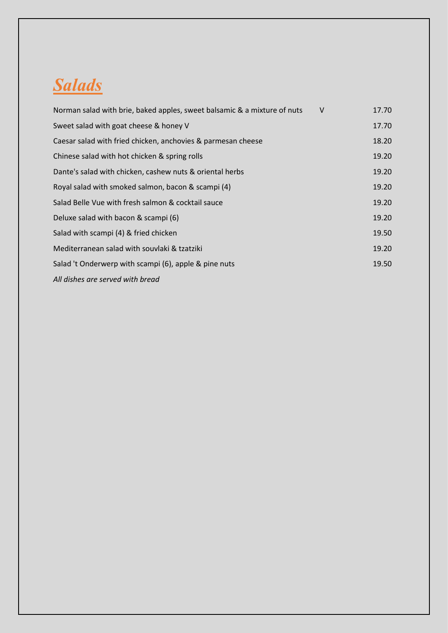#### *Salads*

| Norman salad with brie, baked apples, sweet balsamic & a mixture of nuts | $\vee$ | 17.70 |
|--------------------------------------------------------------------------|--------|-------|
| Sweet salad with goat cheese & honey V                                   |        | 17.70 |
| Caesar salad with fried chicken, anchovies & parmesan cheese             |        | 18.20 |
| Chinese salad with hot chicken & spring rolls                            |        | 19.20 |
| Dante's salad with chicken, cashew nuts & oriental herbs                 |        | 19.20 |
| Royal salad with smoked salmon, bacon & scampi (4)                       |        | 19.20 |
| Salad Belle Vue with fresh salmon & cocktail sauce                       |        | 19.20 |
| Deluxe salad with bacon & scampi (6)                                     |        | 19.20 |
| Salad with scampi (4) & fried chicken                                    |        | 19.50 |
| Mediterranean salad with souvlaki & tzatziki                             |        | 19.20 |
| Salad 't Onderwerp with scampi (6), apple & pine nuts                    |        | 19.50 |
| All dishes are served with bread                                         |        |       |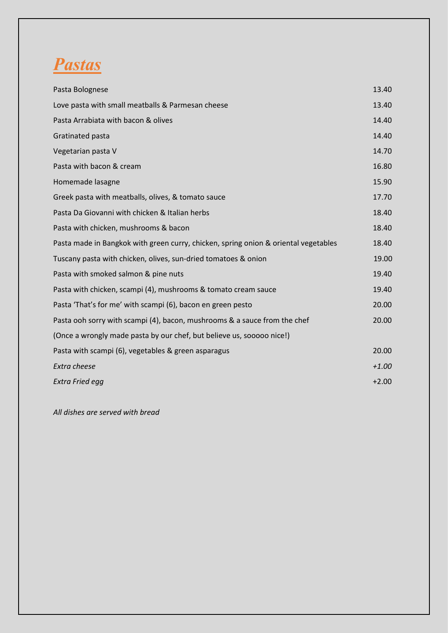

| Pasta Bolognese                                                                     | 13.40   |
|-------------------------------------------------------------------------------------|---------|
| Love pasta with small meatballs & Parmesan cheese                                   | 13.40   |
| Pasta Arrabiata with bacon & olives                                                 | 14.40   |
| Gratinated pasta                                                                    | 14.40   |
| Vegetarian pasta V                                                                  | 14.70   |
| Pasta with bacon & cream                                                            | 16.80   |
| Homemade lasagne                                                                    | 15.90   |
| Greek pasta with meatballs, olives, & tomato sauce                                  | 17.70   |
| Pasta Da Giovanni with chicken & Italian herbs                                      | 18.40   |
| Pasta with chicken, mushrooms & bacon                                               | 18.40   |
| Pasta made in Bangkok with green curry, chicken, spring onion & oriental vegetables | 18.40   |
| Tuscany pasta with chicken, olives, sun-dried tomatoes & onion                      | 19.00   |
| Pasta with smoked salmon & pine nuts                                                | 19.40   |
| Pasta with chicken, scampi (4), mushrooms & tomato cream sauce                      | 19.40   |
| Pasta 'That's for me' with scampi (6), bacon en green pesto                         | 20.00   |
| Pasta ooh sorry with scampi (4), bacon, mushrooms & a sauce from the chef           | 20.00   |
| (Once a wrongly made pasta by our chef, but believe us, sooooo nice!)               |         |
| Pasta with scampi (6), vegetables & green asparagus                                 | 20.00   |
| Extra cheese                                                                        | $+1.00$ |
| Extra Fried egg                                                                     | $+2.00$ |

*All dishes are served with bread*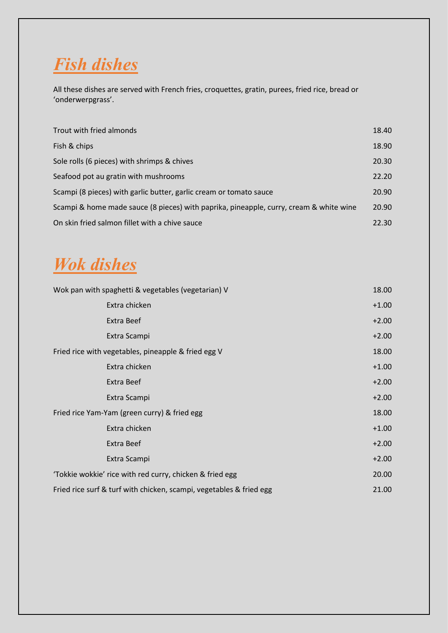

All these dishes are served with French fries, croquettes, gratin, purees, fried rice, bread or 'onderwerpgrass'.

| Trout with fried almonds                                                               | 18.40 |
|----------------------------------------------------------------------------------------|-------|
| Fish & chips                                                                           | 18.90 |
| Sole rolls (6 pieces) with shrimps & chives                                            | 20.30 |
| Seafood pot au gratin with mushrooms                                                   | 22.20 |
| Scampi (8 pieces) with garlic butter, garlic cream or tomato sauce                     | 20.90 |
| Scampi & home made sauce (8 pieces) with paprika, pineapple, curry, cream & white wine | 20.90 |
| On skin fried salmon fillet with a chive sauce                                         | 22.30 |

#### *Wok dishes*

| Wok pan with spaghetti & vegetables (vegetarian) V                  | 18.00   |
|---------------------------------------------------------------------|---------|
| Extra chicken                                                       | $+1.00$ |
| Extra Beef                                                          | $+2.00$ |
| Extra Scampi                                                        | $+2.00$ |
| Fried rice with vegetables, pineapple & fried egg V                 | 18.00   |
| Extra chicken                                                       | $+1.00$ |
| Extra Beef                                                          | $+2.00$ |
| Extra Scampi                                                        | $+2.00$ |
| Fried rice Yam-Yam (green curry) & fried egg                        | 18.00   |
| Extra chicken                                                       | $+1.00$ |
| Extra Beef                                                          | $+2.00$ |
| Extra Scampi                                                        | $+2.00$ |
| 'Tokkie wokkie' rice with red curry, chicken & fried egg            | 20.00   |
| Fried rice surf & turf with chicken, scampi, vegetables & fried egg | 21.00   |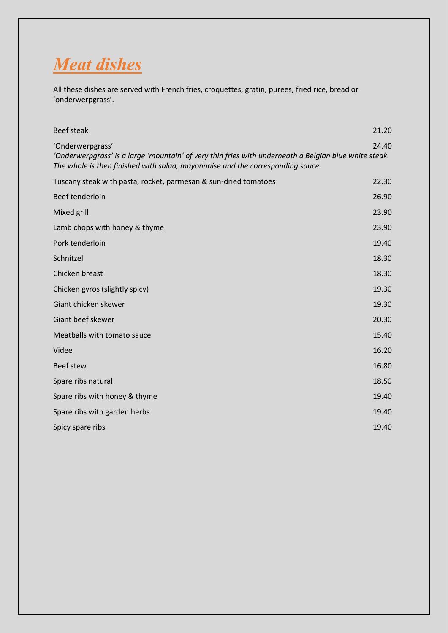

All these dishes are served with French fries, croquettes, gratin, purees, fried rice, bread or 'onderwerpgrass'.

| <b>Beef steak</b>                                                                                                                                                                                           | 21.20 |
|-------------------------------------------------------------------------------------------------------------------------------------------------------------------------------------------------------------|-------|
| 'Onderwerpgrass'<br>'Onderwerpgrass' is a large 'mountain' of very thin fries with underneath a Belgian blue white steak.<br>The whole is then finished with salad, mayonnaise and the corresponding sauce. | 24.40 |
| Tuscany steak with pasta, rocket, parmesan & sun-dried tomatoes                                                                                                                                             | 22.30 |
| Beef tenderloin                                                                                                                                                                                             | 26.90 |
| Mixed grill                                                                                                                                                                                                 | 23.90 |
| Lamb chops with honey & thyme                                                                                                                                                                               | 23.90 |
| Pork tenderloin                                                                                                                                                                                             | 19.40 |
| Schnitzel                                                                                                                                                                                                   | 18.30 |
| Chicken breast                                                                                                                                                                                              | 18.30 |
| Chicken gyros (slightly spicy)                                                                                                                                                                              | 19.30 |
| Giant chicken skewer                                                                                                                                                                                        | 19.30 |
| Giant beef skewer                                                                                                                                                                                           | 20.30 |
| Meatballs with tomato sauce                                                                                                                                                                                 | 15.40 |
| Videe                                                                                                                                                                                                       | 16.20 |
| <b>Beef stew</b>                                                                                                                                                                                            | 16.80 |
| Spare ribs natural                                                                                                                                                                                          | 18.50 |
| Spare ribs with honey & thyme                                                                                                                                                                               | 19.40 |
| Spare ribs with garden herbs                                                                                                                                                                                | 19.40 |
| Spicy spare ribs                                                                                                                                                                                            | 19.40 |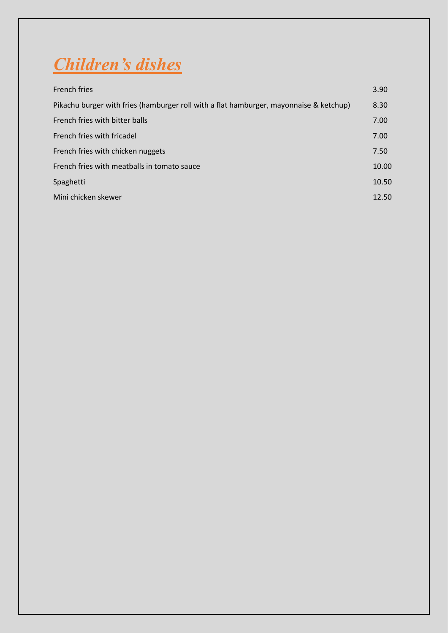

| <b>French fries</b>                                                                    | 3.90  |
|----------------------------------------------------------------------------------------|-------|
| Pikachu burger with fries (hamburger roll with a flat hamburger, mayonnaise & ketchup) | 8.30  |
| French fries with bitter balls                                                         | 7.00  |
| French fries with fricadel                                                             | 7.00  |
| French fries with chicken nuggets                                                      | 7.50  |
| French fries with meatballs in tomato sauce                                            | 10.00 |
| Spaghetti                                                                              | 10.50 |
| Mini chicken skewer                                                                    | 12.50 |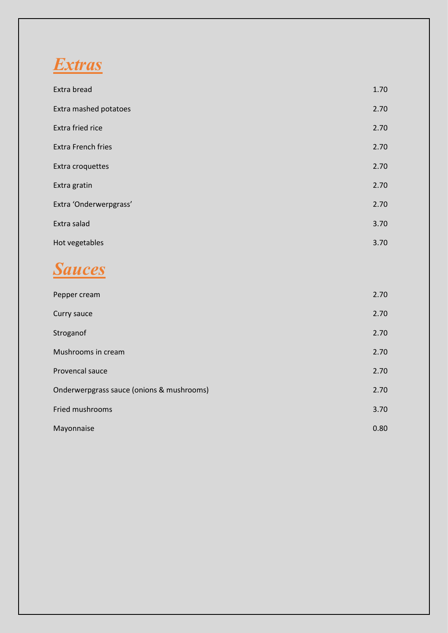

| Extra bread               | 1.70 |
|---------------------------|------|
| Extra mashed potatoes     | 2.70 |
| Extra fried rice          | 2.70 |
| <b>Extra French fries</b> | 2.70 |
| Extra croquettes          | 2.70 |
| Extra gratin              | 2.70 |
| Extra 'Onderwerpgrass'    | 2.70 |
| Extra salad               | 3.70 |
| Hot vegetables            | 3.70 |



| Pepper cream                              | 2.70 |
|-------------------------------------------|------|
| Curry sauce                               | 2.70 |
| Stroganof                                 | 2.70 |
| Mushrooms in cream                        | 2.70 |
| Provencal sauce                           | 2.70 |
| Onderwerpgrass sauce (onions & mushrooms) | 2.70 |
| Fried mushrooms                           | 3.70 |
| Mayonnaise                                | 0.80 |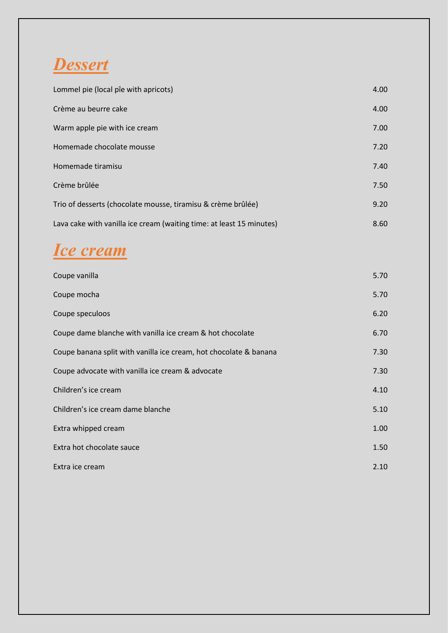#### *Dessert*

| Lommel pie (local pîe with apricots)                                 | 4.00 |
|----------------------------------------------------------------------|------|
| Crème au beurre cake                                                 | 4.00 |
| Warm apple pie with ice cream                                        | 7.00 |
| Homemade chocolate mousse                                            | 7.20 |
| Homemade tiramisu                                                    | 7.40 |
| Crème brûlée                                                         | 7.50 |
| Trio of desserts (chocolate mousse, tiramisu & crème brûlée)         | 9.20 |
| Lava cake with vanilla ice cream (waiting time: at least 15 minutes) | 8.60 |

# *Ice cream*

| Coupe vanilla                                                     | 5.70 |
|-------------------------------------------------------------------|------|
| Coupe mocha                                                       | 5.70 |
| Coupe speculoos                                                   | 6.20 |
| Coupe dame blanche with vanilla ice cream & hot chocolate         | 6.70 |
| Coupe banana split with vanilla ice cream, hot chocolate & banana | 7.30 |
| Coupe advocate with vanilla ice cream & advocate                  | 7.30 |
| Children's ice cream                                              | 4.10 |
| Children's ice cream dame blanche                                 | 5.10 |
| Extra whipped cream                                               | 1.00 |
| Extra hot chocolate sauce                                         | 1.50 |
| Extra ice cream                                                   | 2.10 |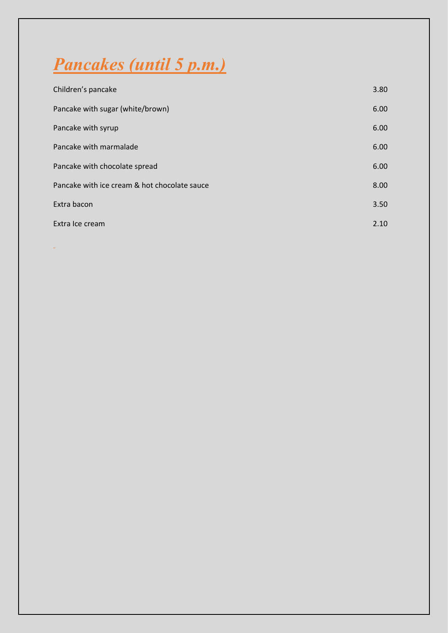# *Pancakes (until 5 p.m.)*

| Children's pancake                           | 3.80 |
|----------------------------------------------|------|
| Pancake with sugar (white/brown)             | 6.00 |
| Pancake with syrup                           | 6.00 |
| Pancake with marmalade                       | 6.00 |
| Pancake with chocolate spread                | 6.00 |
| Pancake with ice cream & hot chocolate sauce | 8.00 |
| Extra bacon                                  | 3.50 |
| Extra Ice cream                              | 2.10 |